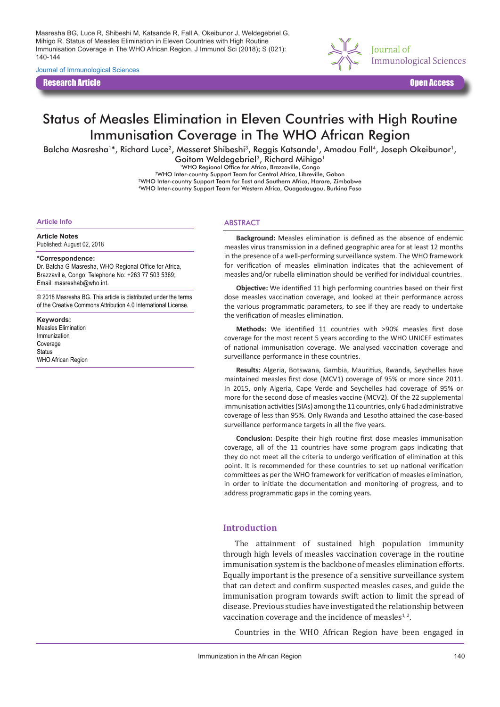Masresha BG, Luce R, Shibeshi M, Katsande R, Fall A, Okeibunor J, Weldegebriel G, Mihigo R. Status of Measles Elimination in Eleven Countries with High Routine Immunisation Coverage in The WHO African Region. J Immunol Sci (2018)**;** S (021): 140-144

Journal of Immunological Sciences

Research Article Open Access



# Status of Measles Elimination in Eleven Countries with High Routine Immunisation Coverage in The WHO African Region

Balcha Masresha<sup>1\*</sup>, Richard Luce<sup>2</sup>, Messeret Shibeshi<sup>3</sup>, Reggis Katsande<sup>1</sup>, Amadou Fall<sup>4</sup>, Joseph Okeibunor<sup>1</sup>,

Goitom Weldegebriel<sup>3</sup>, Richard Mihigo<sup>1</sup> 1WHO Regional Office for Africa, Brazzaville, Congo 2WHO Inter-country Support Team for Central Africa, Libreville, Gabon 3WHO Inter-country Support Team for East and Southern Africa, Harare, Zimbabwe

4WHO Inter-country Support Team for Western Africa, Ouagadougou, Burkina Faso

#### **Article Info**

**Article Notes** Published: August 02, 2018

**\*Correspondence:**

Dr. Balcha G Masresha, WHO Regional Office for Africa, Brazzaville, Congo; Telephone No: +263 77 503 5369; Email: masreshab@who.int.

© 2018 Masresha BG. This article is distributed under the terms of the Creative Commons Attribution 4.0 International License.

**Keywords:** Measles Elimination Immunization Coverage **Status** WHO African Region

#### ABSTRACT

**Background:** Measles elimination is defined as the absence of endemic measles virus transmission in a defined geographic area for at least 12 months in the presence of a well-performing surveillance system. The WHO framework for verification of measles elimination indicates that the achievement of measles and/or rubella elimination should be verified for individual countries.

**Objective:** We identified 11 high performing countries based on their first dose measles vaccination coverage, and looked at their performance across the various programmatic parameters, to see if they are ready to undertake the verification of measles elimination.

**Methods:** We identified 11 countries with >90% measles first dose coverage for the most recent 5 years according to the WHO UNICEF estimates of national immunisation coverage. We analysed vaccination coverage and surveillance performance in these countries.

**Results:** Algeria, Botswana, Gambia, Mauritius, Rwanda, Seychelles have maintained measles first dose (MCV1) coverage of 95% or more since 2011. In 2015, only Algeria, Cape Verde and Seychelles had coverage of 95% or more for the second dose of measles vaccine (MCV2). Of the 22 supplemental immunisation activities (SIAs) among the 11 countries, only 6 had administrative coverage of less than 95%. Only Rwanda and Lesotho attained the case-based surveillance performance targets in all the five years.

**Conclusion:** Despite their high routine first dose measles immunisation coverage, all of the 11 countries have some program gaps indicating that they do not meet all the criteria to undergo verification of elimination at this point. It is recommended for these countries to set up national verification committees as per the WHO framework for verification of measles elimination, in order to initiate the documentation and monitoring of progress, and to address programmatic gaps in the coming years.

### **Introduction**

The attainment of sustained high population immunity through high levels of measles vaccination coverage in the routine immunisation system is the backbone of measles elimination efforts. Equally important is the presence of a sensitive surveillance system that can detect and confirm suspected measles cases, and guide the immunisation program towards swift action to limit the spread of disease. Previous studies have investigated the relationship between vaccination coverage and the incidence of measles $1,2$ .

Countries in the WHO African Region have been engaged in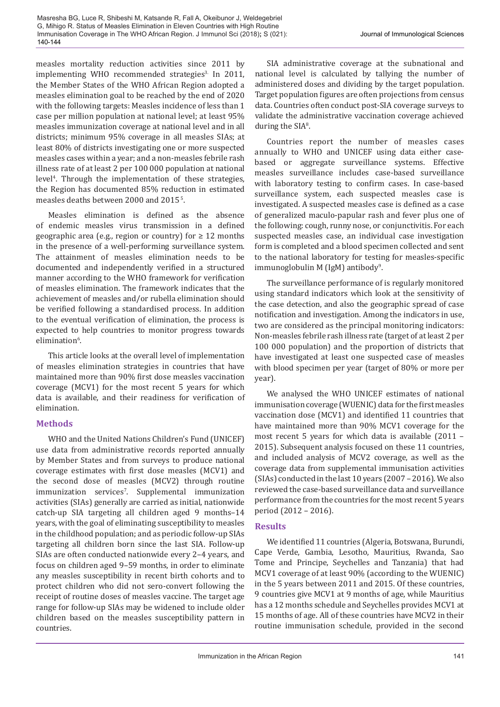measles mortality reduction activities since 2011 by implementing WHO recommended strategies<sup>3.</sup> In 2011, the Member States of the WHO African Region adopted a measles elimination goal to be reached by the end of 2020 with the following targets: Measles incidence of less than 1 case per million population at national level; at least 95% measles immunization coverage at national level and in all districts; minimum 95% coverage in all measles SIAs; at least 80% of districts investigating one or more suspected measles cases within a year; and a non-measles febrile rash illness rate of at least 2 per 100 000 population at national level<sup>4</sup> . Through the implementation of these strategies, the Region has documented 85% reduction in estimated measles deaths between 2000 and 2015 5.

Measles elimination is defined as the absence of endemic measles virus transmission in a defined geographic area (e.g., region or country) for  $\geq 12$  months in the presence of a well-performing surveillance system. The attainment of measles elimination needs to be documented and independently verified in a structured manner according to the WHO framework for verification of measles elimination. The framework indicates that the achievement of measles and/or rubella elimination should be verified following a standardised process. In addition to the eventual verification of elimination, the process is expected to help countries to monitor progress towards elimination<sup>6</sup>.

This article looks at the overall level of implementation of measles elimination strategies in countries that have maintained more than 90% first dose measles vaccination coverage (MCV1) for the most recent 5 years for which data is available, and their readiness for verification of elimination.

## **Methods**

WHO and the United Nations Children's Fund (UNICEF) use data from administrative records reported annually by Member States and from surveys to produce national coverage estimates with first dose measles (MCV1) and the second dose of measles (MCV2) through routine immunization services<sup>7</sup>. Supplemental immunization activities (SIAs) generally are carried as initial, nationwide catch-up SIA targeting all children aged 9 months–14 years, with the goal of eliminating susceptibility to measles in the childhood population; and as periodic follow-up SIAs targeting all children born since the last SIA. Follow-up SIAs are often conducted nationwide every 2–4 years, and focus on children aged 9–59 months, in order to eliminate any measles susceptibility in recent birth cohorts and to protect children who did not sero-convert following the receipt of routine doses of measles vaccine. The target age range for follow-up SIAs may be widened to include older children based on the measles susceptibility pattern in countries.

SIA administrative coverage at the subnational and national level is calculated by tallying the number of administered doses and dividing by the target population. Target population figures are often projections from census data. Countries often conduct post-SIA coverage surveys to validate the administrative vaccination coverage achieved during the SIA<sup>8</sup>.

Countries report the number of measles cases annually to WHO and UNICEF using data either casebased or aggregate surveillance systems. Effective measles surveillance includes case-based surveillance with laboratory testing to confirm cases. In case-based surveillance system, each suspected measles case is investigated. A suspected measles case is defined as a case of generalized maculo-papular rash and fever plus one of the following: cough, runny nose, or conjunctivitis. For each suspected measles case, an individual case investigation form is completed and a blood specimen collected and sent to the national laboratory for testing for measles-specific immunoglobulin M (IgM) antibody<sup>9</sup>.

The surveillance performance of is regularly monitored using standard indicators which look at the sensitivity of the case detection, and also the geographic spread of case notification and investigation. Among the indicators in use, two are considered as the principal monitoring indicators: Non-measles febrile rash illness rate (target of at least 2 per 100 000 population) and the proportion of districts that have investigated at least one suspected case of measles with blood specimen per year (target of 80% or more per year).

We analysed the WHO UNICEF estimates of national immunisation coverage (WUENIC) data for the first measles vaccination dose (MCV1) and identified 11 countries that have maintained more than 90% MCV1 coverage for the most recent 5 years for which data is available (2011 – 2015). Subsequent analysis focused on these 11 countries, and included analysis of MCV2 coverage, as well as the coverage data from supplemental immunisation activities (SIAs) conducted in the last 10 years (2007 – 2016). We also reviewed the case-based surveillance data and surveillance performance from the countries for the most recent 5 years period (2012 – 2016).

## **Results**

We identified 11 countries (Algeria, Botswana, Burundi, Cape Verde, Gambia, Lesotho, Mauritius, Rwanda, Sao Tome and Principe, Seychelles and Tanzania) that had MCV1 coverage of at least 90% (according to the WUENIC) in the 5 years between 2011 and 2015. Of these countries, 9 countries give MCV1 at 9 months of age, while Mauritius has a 12 months schedule and Seychelles provides MCV1 at 15 months of age. All of these countries have MCV2 in their routine immunisation schedule, provided in the second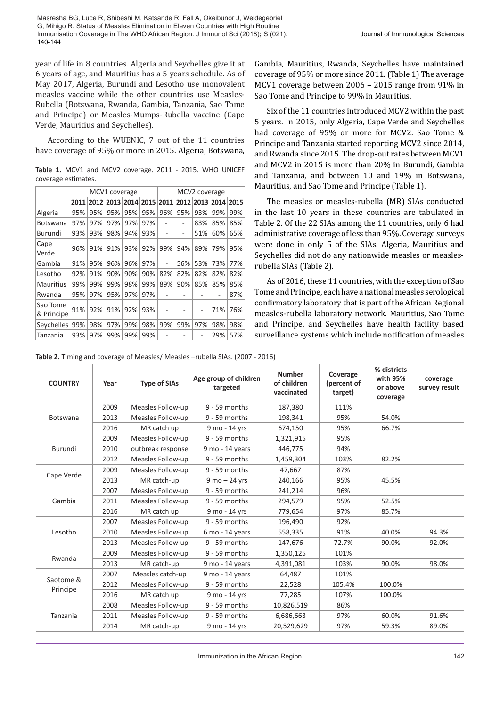year of life in 8 countries. Algeria and Seychelles give it at 6 years of age, and Mauritius has a 5 years schedule. As of May 2017, Algeria, Burundi and Lesotho use monovalent measles vaccine while the other countries use Measles-Rubella (Botswana, Rwanda, Gambia, Tanzania, Sao Tome and Principe) or Measles-Mumps-Rubella vaccine (Cape Verde, Mauritius and Seychelles).

According to the WUENIC, 7 out of the 11 countries have coverage of 95% or more in 2015. Algeria, Botswana,

**Table 1.** MCV1 and MCV2 coverage. 2011 - 2015. WHO UNICEF coverage estimates.

|                        | MCV1 coverage |      |      |     |           |                          | MCV2 coverage |      |           |     |  |
|------------------------|---------------|------|------|-----|-----------|--------------------------|---------------|------|-----------|-----|--|
|                        | 2011          | 2012 | 2013 |     | 2014 2015 | 2011                     | 2012          | 2013 | 2014 2015 |     |  |
| Algeria                | 95%           | 95%  | 95%  | 95% | 95%       | 96%                      | 95%           | 93%  | 99%       | 99% |  |
| <b>Botswana</b>        | 97%           | 97%  | 97%  | 97% | 97%       | ٠                        |               | 83%  | 85%       | 85% |  |
| Burundi                | 93%           | 93%  | 98%  | 94% | 93%       | ۰                        | ۰             | 51%  | 60%       | 65% |  |
| Cape<br>Verde          | 96%           | 91%  | 91%  | 93% | 92%       | 99%                      | 94%           | 89%  | 79%       | 95% |  |
| Gambia                 | 91%           | 95%  | 96%  | 96% | 97%       | $\overline{\phantom{a}}$ | 56%           | 53%  | 73%       | 77% |  |
| Lesotho                | 92%           | 91%  | 90%  | 90% | 90%       | 82%                      | 82%           | 82%  | 82%       | 82% |  |
| <b>Mauritius</b>       | 99%           | 99%  | 99%  | 98% | 99%       | 89%                      | 90%           | 85%  | 85%       | 85% |  |
| Rwanda                 | 95%           | 97%  | 95%  | 97% | 97%       | ۰                        |               |      | ۰         | 87% |  |
| Sao Tome<br>& Principe | 91%           | 92%  | 91%  | 92% | 93%       | ۰                        |               |      | 71%       | 76% |  |
| Seychelles             | 99%           | 98%  | 97%  | 99% | 98%       | 99%                      | 99%           | 97%  | 98%       | 98% |  |
| Tanzania               | 93%           | 97%  | 99%  | 99% | 99%       |                          |               |      | 29%       | 57% |  |

**Table 2.** Timing and coverage of Measles/ Measles –rubella SIAs. (2007 - 2016)

Gambia, Mauritius, Rwanda, Seychelles have maintained coverage of 95% or more since 2011. (Table 1) The average MCV1 coverage between 2006 – 2015 range from 91% in Sao Tome and Principe to 99% in Mauritius.

Six of the 11 countries introduced MCV2 within the past 5 years. In 2015, only Algeria, Cape Verde and Seychelles had coverage of 95% or more for MCV2. Sao Tome & Principe and Tanzania started reporting MCV2 since 2014, and Rwanda since 2015. The drop-out rates between MCV1 and MCV2 in 2015 is more than 20% in Burundi, Gambia and Tanzania, and between 10 and 19% in Botswana, Mauritius, and Sao Tome and Principe (Table 1).

The measles or measles-rubella (MR) SIAs conducted in the last 10 years in these countries are tabulated in Table 2. Of the 22 SIAs among the 11 countries, only 6 had administrative coverage of less than 95%. Coverage surveys were done in only 5 of the SIAs. Algeria, Mauritius and Seychelles did not do any nationwide measles or measlesrubella SIAs (Table 2).

As of 2016, these 11 countries, with the exception of Sao Tome and Principe, each have a national measles serological confirmatory laboratory that is part of the African Regional measles-rubella laboratory network. Mauritius, Sao Tome and Principe, and Seychelles have health facility based surveillance systems which include notification of measles

| <b>COUNTRY</b>        | Year | <b>Type of SIAs</b> | Age group of children<br>targeted | <b>Number</b><br>of children<br>vaccinated | Coverage<br>(percent of<br>target) | % districts<br>with 95%<br>or above<br>coverage | coverage<br>survey result |
|-----------------------|------|---------------------|-----------------------------------|--------------------------------------------|------------------------------------|-------------------------------------------------|---------------------------|
|                       | 2009 | Measles Follow-up   | 9 - 59 months                     | 187,380                                    | 111%                               |                                                 |                           |
| Botswana              | 2013 | Measles Follow-up   | 9 - 59 months                     | 198,341                                    | 95%                                | 54.0%                                           |                           |
|                       | 2016 | MR catch up         | 9 mo - 14 yrs                     | 674,150                                    | 95%                                | 66.7%                                           |                           |
|                       | 2009 | Measles Follow-up   | $9 - 59$ months                   | 1,321,915                                  | 95%                                |                                                 |                           |
| Burundi               | 2010 | outbreak response   | 9 mo - 14 years                   | 446,775                                    | 94%                                |                                                 |                           |
|                       | 2012 | Measles Follow-up   | 9 - 59 months                     | 1,459,304                                  | 103%                               | 82.2%                                           |                           |
| Cape Verde            | 2009 | Measles Follow-up   | 9 - 59 months                     | 47,667                                     | 87%                                |                                                 |                           |
|                       | 2013 | MR catch-up         | $9$ mo $-$ 24 yrs                 | 240,166                                    | 95%                                | 45.5%                                           |                           |
| Gambia                | 2007 | Measles Follow-up   | 9 - 59 months                     | 241,214                                    | 96%                                |                                                 |                           |
|                       | 2011 | Measles Follow-up   | 9 - 59 months                     | 294,579                                    | 95%                                | 52.5%                                           |                           |
|                       | 2016 | MR catch up         | 9 mo - 14 yrs                     | 779,654                                    | 97%                                | 85.7%                                           |                           |
|                       | 2007 | Measles Follow-up   | 9 - 59 months                     | 196,490                                    | 92%                                |                                                 |                           |
| Lesotho               | 2010 | Measles Follow-up   | $6$ mo - 14 years                 | 558,335                                    | 91%                                | 40.0%                                           | 94.3%                     |
|                       | 2013 | Measles Follow-up   | 9 - 59 months                     | 147,676                                    | 72.7%                              | 90.0%                                           | 92.0%                     |
| Rwanda                | 2009 | Measles Follow-up   | $9 - 59$ months                   | 1,350,125                                  | 101%                               |                                                 |                           |
|                       | 2013 | MR catch-up         | 9 mo - 14 years                   | 4,391,081                                  | 103%                               | 90.0%                                           | 98.0%                     |
| Saotome &<br>Principe | 2007 | Measles catch-up    | 9 mo - 14 years                   | 64,487                                     | 101%                               |                                                 |                           |
|                       | 2012 | Measles Follow-up   | $9 - 59$ months                   | 22,528                                     | 105.4%                             | 100.0%                                          |                           |
|                       | 2016 | MR catch up         | 9 mo - 14 yrs                     | 77,285                                     | 107%                               | 100.0%                                          |                           |
|                       | 2008 | Measles Follow-up   | 9 - 59 months                     | 10,826,519                                 | 86%                                |                                                 |                           |
| Tanzania              | 2011 | Measles Follow-up   | 9 - 59 months                     | 6,686,663                                  | 97%                                | 60.0%                                           | 91.6%                     |
|                       | 2014 | MR catch-up         | 9 mo - 14 yrs                     | 20,529,629                                 | 97%                                | 59.3%                                           | 89.0%                     |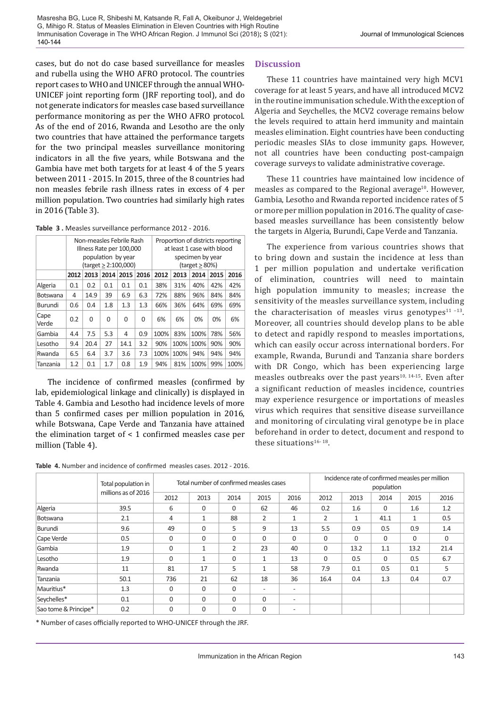cases, but do not do case based surveillance for measles and rubella using the WHO AFRO protocol. The countries report cases to WHO and UNICEF through the annual WHO-UNICEF joint reporting form (JRF reporting tool), and do not generate indicators for measles case based surveillance performance monitoring as per the WHO AFRO protocol. As of the end of 2016, Rwanda and Lesotho are the only two countries that have attained the performance targets for the two principal measles surveillance monitoring indicators in all the five years, while Botswana and the Gambia have met both targets for at least 4 of the 5 years between 2011 - 2015. In 2015, three of the 8 countries had non measles febrile rash illness rates in excess of 4 per million population. Two countries had similarly high rates in 2016 (Table 3).

|  |  | Table 3. Measles surveillance performance 2012 - 2016. |  |  |
|--|--|--------------------------------------------------------|--|--|
|--|--|--------------------------------------------------------|--|--|

|                 |                                      |            | Non-measles Febrile Rash<br>Illness Rate per 100,000<br>population by year<br>(target > 2:100,000) |      |          | Proportion of districts reporting<br>at least 1 case with blood<br>specimen by year<br>$\frac{1}{2}$ (target > 80%) |      |      |      |      |
|-----------------|--------------------------------------|------------|----------------------------------------------------------------------------------------------------|------|----------|---------------------------------------------------------------------------------------------------------------------|------|------|------|------|
|                 | 2015<br>2013<br>2014<br>2016<br>2012 |            |                                                                                                    |      |          | 2012                                                                                                                | 2013 | 2014 | 2015 | 2016 |
| Algeria         | 0.1                                  | 0.2        | 0.1                                                                                                | 0.1  | 0.1      | 38%                                                                                                                 | 31%  | 40%  | 42%  | 42%  |
| <b>Botswana</b> | 4                                    | 14.9       | 39                                                                                                 | 6.9  | 6.3      | 72%                                                                                                                 | 88%  | 96%  | 84%  | 84%  |
| Burundi         | 0.6                                  | 0.4        | 1.8                                                                                                | 1.3  | 1.3      | 66%                                                                                                                 | 36%  | 64%  | 69%  | 69%  |
| Cape<br>Verde   | 0.2                                  | $\Omega$   | 0                                                                                                  | 0    | $\Omega$ | 6%                                                                                                                  | 6%   | 0%   | 0%   | 6%   |
| Gambia          | 4.4                                  | 7.5<br>5.3 |                                                                                                    | 4    | 0.9      | 100%                                                                                                                | 83%  | 100% | 78%  | 56%  |
| Lesotho         | 9.4                                  | 20.4       | 27                                                                                                 | 14.1 | 3.2      | 90%                                                                                                                 | 100% | 100% | 90%  | 90%  |
| Rwanda          | 6.5                                  | 6.4        | 3.7                                                                                                | 3.6  | 7.3      | 100%                                                                                                                | 100% | 94%  | 94%  | 94%  |
| Tanzania        | 1.2                                  | 0.1        | 1.7                                                                                                | 0.8  | 1.9      | 94%                                                                                                                 | 81%  | 100% | 99%  | 100% |

The incidence of confirmed measles (confirmed by lab, epidemiological linkage and clinically) is displayed in Table 4. Gambia and Lesotho had incidence levels of more than 5 confirmed cases per million population in 2016, while Botswana, Cape Verde and Tanzania have attained the elimination target of < 1 confirmed measles case per million (Table 4).

**Table 4.** Number and incidence of confirmed measles cases. 2012 - 2016.

## **Discussion**

These 11 countries have maintained very high MCV1 coverage for at least 5 years, and have all introduced MCV2 in the routine immunisation schedule. With the exception of Algeria and Seychelles, the MCV2 coverage remains below the levels required to attain herd immunity and maintain measles elimination. Eight countries have been conducting periodic measles SIAs to close immunity gaps. However, not all countries have been conducting post-campaign coverage surveys to validate administrative coverage.

These 11 countries have maintained low incidence of measles as compared to the Regional average<sup>10</sup>. However, Gambia, Lesotho and Rwanda reported incidence rates of 5 or more per million population in 2016. The quality of casebased measles surveillance has been consistently below the targets in Algeria, Burundi, Cape Verde and Tanzania.

The experience from various countries shows that to bring down and sustain the incidence at less than 1 per million population and undertake verification of elimination, countries will need to maintain high population immunity to measles; increase the sensitivity of the measles surveillance system, including the characterisation of measles virus genotypes $11 - 13$ . Moreover, all countries should develop plans to be able to detect and rapidly respond to measles importations, which can easily occur across international borders. For example, Rwanda, Burundi and Tanzania share borders with DR Congo, which has been experiencing large measles outbreaks over the past years<sup>10, 14-15</sup>. Even after a significant reduction of measles incidence, countries may experience resurgence or importations of measles virus which requires that sensitive disease surveillance and monitoring of circulating viral genotype be in place beforehand in order to detect, document and respond to these situations<sup>16-18</sup>.

|                      | Total population in | Total number of confirmed measles cases |              |                |                |                          | Incidence rate of confirmed measles per million<br>population |              |          |      |             |
|----------------------|---------------------|-----------------------------------------|--------------|----------------|----------------|--------------------------|---------------------------------------------------------------|--------------|----------|------|-------------|
|                      | millions as of 2016 | 2012                                    | 2013         | 2014           | 2015           | 2016                     | 2012                                                          | 2013         | 2014     | 2015 | 2016        |
| Algeria              | 39.5                | 6                                       | $\Omega$     | 0              | 62             | 46                       | 0.2                                                           | 1.6          | 0        | 1.6  | 1.2         |
| Botswana             | 2.1                 | 4                                       | $\mathbf{1}$ | 88             | $\overline{2}$ | 1                        | $\overline{2}$                                                | $\mathbf{1}$ | 41.1     | 1    | 0.5         |
| Burundi              | 9.6                 | 49                                      | $\mathbf 0$  | 5              | 9              | 13                       | 5.5                                                           | 0.9          | 0.5      | 0.9  | 1.4         |
| Cape Verde           | 0.5                 | 0                                       | $\Omega$     | $\mathbf 0$    | $\Omega$       | 0                        | 0                                                             | $\Omega$     | 0        | 0    | $\mathbf 0$ |
| Gambia               | 1.9                 | $\Omega$                                | 1            | $\overline{2}$ | 23             | 40                       | $\mathbf 0$                                                   | 13.2         | 1.1      | 13.2 | 21.4        |
| Lesotho              | 1.9                 | $\Omega$                                | $\mathbf{1}$ | $\mathbf 0$    | 1              | 13                       | 0                                                             | 0.5          | $\Omega$ | 0.5  | 6.7         |
| Rwanda               | 11                  | 81                                      | 17           | 5              | $\mathbf{1}$   | 58                       | 7.9                                                           | 0.1          | 0.5      | 0.1  | 5           |
| Tanzania             | 50.1                | 736                                     | 21           | 62             | 18             | 36                       | 16.4                                                          | 0.4          | 1.3      | 0.4  | 0.7         |
| Mauritius*           | 1.3                 | $\Omega$                                | $\Omega$     | $\Omega$       |                |                          |                                                               |              |          |      |             |
| Seychelles*          | 0.1                 | 0                                       | $\mathbf 0$  | $\mathbf 0$    | 0              | $\overline{\phantom{a}}$ |                                                               |              |          |      |             |
| Sao tome & Principe* | 0.2                 | 0                                       | $\mathbf 0$  | $\mathbf 0$    | $\mathbf 0$    | $\overline{\phantom{a}}$ |                                                               |              |          |      |             |

\* Number of cases officially reported to WHO-UNICEF through the JRF.